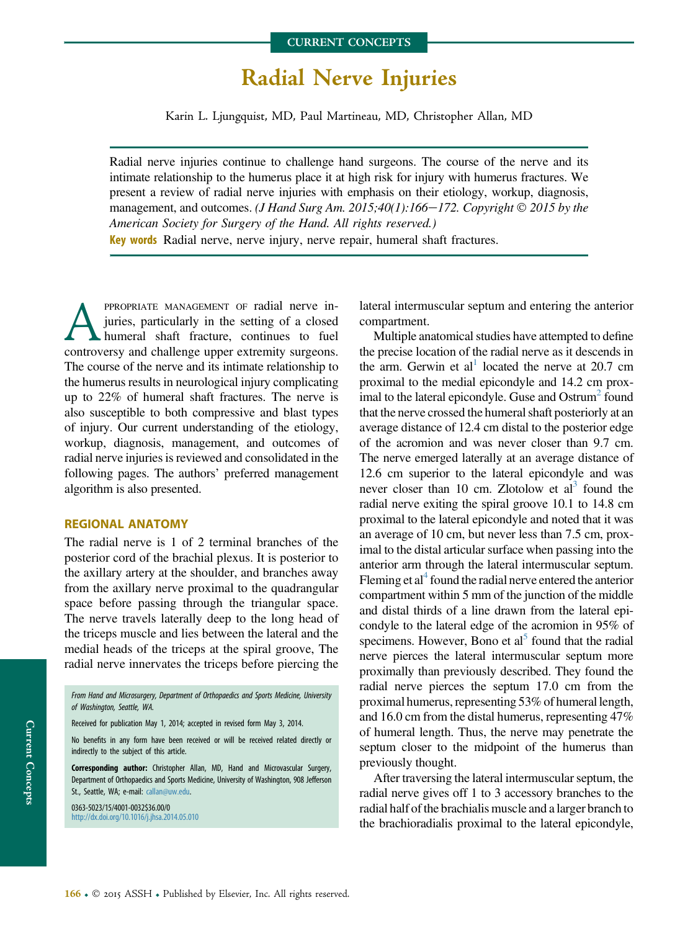# Radial Nerve Injuries

Karin L. Ljungquist, MD, Paul Martineau, MD, Christopher Allan, MD

Radial nerve injuries continue to challenge hand surgeons. The course of the nerve and its intimate relationship to the humerus place it at high risk for injury with humerus fractures. We present a review of radial nerve injuries with emphasis on their etiology, workup, diagnosis, management, and outcomes. (J Hand Surg Am. 2015;40(1):166–172. Copyright  $\odot$  2015 by the American Society for Surgery of the Hand. All rights reserved.) Key words Radial nerve, nerve injury, nerve repair, humeral shaft fractures.

**APPROPRIATE MANAGEMENT OF radial nerve in-**<br>juries, particularly in the setting of a closed<br>controversy and challenge upper extremity surgeons. juries, particularly in the setting of a closed humeral shaft fracture, continues to fuel The course of the nerve and its intimate relationship to the humerus results in neurological injury complicating up to 22% of humeral shaft fractures. The nerve is also susceptible to both compressive and blast types of injury. Our current understanding of the etiology, workup, diagnosis, management, and outcomes of radial nerve injuries is reviewed and consolidated in the following pages. The authors' preferred management algorithm is also presented.

#### REGIONAL ANATOMY

The radial nerve is 1 of 2 terminal branches of the posterior cord of the brachial plexus. It is posterior to the axillary artery at the shoulder, and branches away from the axillary nerve proximal to the quadrangular space before passing through the triangular space. The nerve travels laterally deep to the long head of the triceps muscle and lies between the lateral and the medial heads of the triceps at the spiral groove, The radial nerve innervates the triceps before piercing the

No benefits in any form have been received or will be received related directly or indirectly to the subject of this article.

Corresponding author: Christopher Allan, MD, Hand and Microvascular Surgery, Department of Orthopaedics and Sports Medicine, University of Washington, 908 Jefferson St., Seattle, WA; e-mail: [callan@uw.edu](mailto:callan@uw.edu).

0363-5023/15/4001-0032\$36.00/0 <http://dx.doi.org/10.1016/j.jhsa.2014.05.010>

lateral intermuscular septum and entering the anterior compartment.

Multiple anatomical studies have attempted to define the precise location of the radial nerve as it descends in the arm. Gerwin et al<sup>1</sup> located the nerve at  $20.7$  cm proximal to the medial epicondyle and 14.2 cm proximal to the lateral epicondyle. Guse and  $Ostrum<sup>2</sup>$  $Ostrum<sup>2</sup>$  $Ostrum<sup>2</sup>$  found that the nerve crossed the humeral shaft posteriorly at an average distance of 12.4 cm distal to the posterior edge of the acromion and was never closer than 9.7 cm. The nerve emerged laterally at an average distance of 12.6 cm superior to the lateral epicondyle and was never closer than 10 cm. Zlotolow et  $al<sup>3</sup>$  found the radial nerve exiting the spiral groove 10.1 to 14.8 cm proximal to the lateral epicondyle and noted that it was an average of 10 cm, but never less than 7.5 cm, proximal to the distal articular surface when passing into the anterior arm through the lateral intermuscular septum. Fleming et al<sup>4</sup> found the radial nerve entered the anterior compartment within 5 mm of the junction of the middle and distal thirds of a line drawn from the lateral epicondyle to the lateral edge of the acromion in 95% of specimens. However, Bono et  $al<sup>5</sup>$  found that the radial nerve pierces the lateral intermuscular septum more proximally than previously described. They found the radial nerve pierces the septum 17.0 cm from the proximal humerus, representing 53% of humeral length, and 16.0 cm from the distal humerus, representing 47% of humeral length. Thus, the nerve may penetrate the septum closer to the midpoint of the humerus than previously thought.

After traversing the lateral intermuscular septum, the radial nerve gives off 1 to 3 accessory branches to the radial half of the brachialis muscle and a larger branch to the brachioradialis proximal to the lateral epicondyle,

From Hand and Microsurgery, Department of Orthopaedics and Sports Medicine, University of Washington, Seattle, WA.

Received for publication May 1, 2014; accepted in revised form May 3, 2014.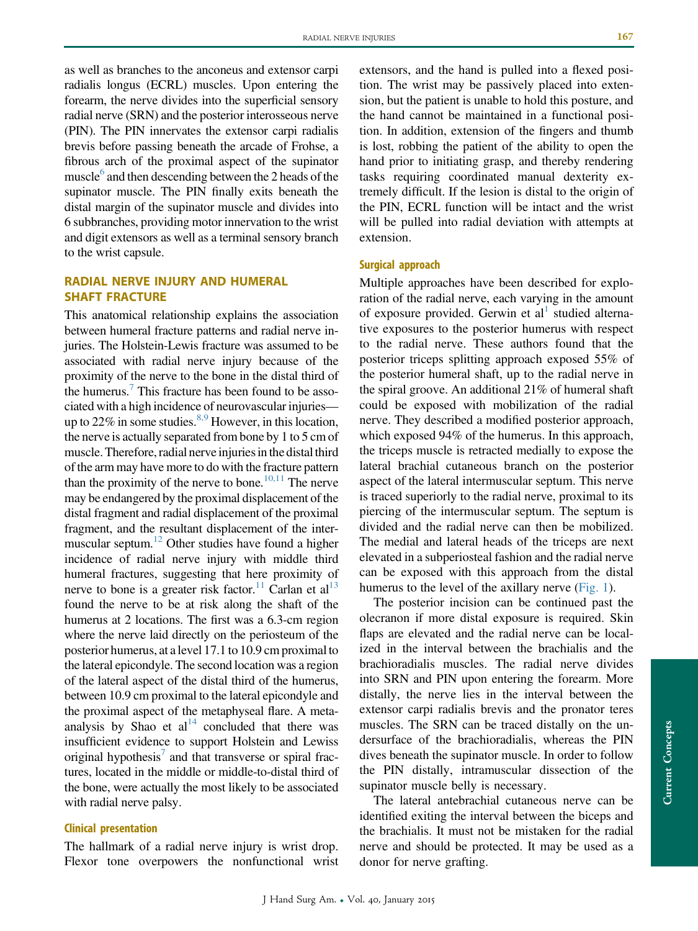as well as branches to the anconeus and extensor carpi radialis longus (ECRL) muscles. Upon entering the forearm, the nerve divides into the superficial sensory radial nerve (SRN) and the posterior interosseous nerve (PIN). The PIN innervates the extensor carpi radialis brevis before passing beneath the arcade of Frohse, a fibrous arch of the proximal aspect of the supinator muscle $<sup>6</sup>$  and then descending between the 2 heads of the</sup> supinator muscle. The PIN finally exits beneath the distal margin of the supinator muscle and divides into 6 subbranches, providing motor innervation to the wrist and digit extensors as well as a terminal sensory branch to the wrist capsule.

## RADIAL NERVE INJURY AND HUMERAL SHAFT FRACTURE

This anatomical relationship explains the association between humeral fracture patterns and radial nerve injuries. The Holstein-Lewis fracture was assumed to be associated with radial nerve injury because of the proximity of the nerve to the bone in the distal third of the humerus.<sup>7</sup> This fracture has been found to be associated with a high incidence of neurovascular injuries up to 22% in some studies.  $8.9$  However, in this location, the nerve is actually separated from bone by 1 to 5 cm of muscle. Therefore, radial nerve injuries in the distal third of the arm may have more to do with the fracture pattern than the proximity of the nerve to bone.<sup>10,11</sup> The nerve may be endangered by the proximal displacement of the distal fragment and radial displacement of the proximal fragment, and the resultant displacement of the intermuscular septum[.12](#page-5-0) Other studies have found a higher incidence of radial nerve injury with middle third humeral fractures, suggesting that here proximity of nerve to bone is a greater risk factor.<sup>11</sup> Carlan et al<sup>13</sup> found the nerve to be at risk along the shaft of the humerus at 2 locations. The first was a 6.3-cm region where the nerve laid directly on the periosteum of the posterior humerus, at a level 17.1 to 10.9 cm proximal to the lateral epicondyle. The second location was a region of the lateral aspect of the distal third of the humerus, between 10.9 cm proximal to the lateral epicondyle and the proximal aspect of the metaphyseal flare. A metaanalysis by Shao et  $al<sup>14</sup>$  concluded that there was insufficient evidence to support Holstein and Lewiss original hypothesis<sup>[7](#page-5-0)</sup> and that transverse or spiral fractures, located in the middle or middle-to-distal third of the bone, were actually the most likely to be associated with radial nerve palsy.

## Clinical presentation

The hallmark of a radial nerve injury is wrist drop. Flexor tone overpowers the nonfunctional wrist

extensors, and the hand is pulled into a flexed position. The wrist may be passively placed into extension, but the patient is unable to hold this posture, and the hand cannot be maintained in a functional position. In addition, extension of the fingers and thumb is lost, robbing the patient of the ability to open the hand prior to initiating grasp, and thereby rendering tasks requiring coordinated manual dexterity extremely difficult. If the lesion is distal to the origin of the PIN, ECRL function will be intact and the wrist will be pulled into radial deviation with attempts at extension.

### Surgical approach

Multiple approaches have been described for exploration of the radial nerve, each varying in the amount of exposure provided. Gerwin et  $al<sup>1</sup>$  $al<sup>1</sup>$  $al<sup>1</sup>$  studied alternative exposures to the posterior humerus with respect to the radial nerve. These authors found that the posterior triceps splitting approach exposed 55% of the posterior humeral shaft, up to the radial nerve in the spiral groove. An additional 21% of humeral shaft could be exposed with mobilization of the radial nerve. They described a modified posterior approach, which exposed 94% of the humerus. In this approach, the triceps muscle is retracted medially to expose the lateral brachial cutaneous branch on the posterior aspect of the lateral intermuscular septum. This nerve is traced superiorly to the radial nerve, proximal to its piercing of the intermuscular septum. The septum is divided and the radial nerve can then be mobilized. The medial and lateral heads of the triceps are next elevated in a subperiosteal fashion and the radial nerve can be exposed with this approach from the distal humerus to the level of the axillary nerve [\(Fig. 1](#page-2-0)).

The posterior incision can be continued past the olecranon if more distal exposure is required. Skin flaps are elevated and the radial nerve can be localized in the interval between the brachialis and the brachioradialis muscles. The radial nerve divides into SRN and PIN upon entering the forearm. More distally, the nerve lies in the interval between the extensor carpi radialis brevis and the pronator teres muscles. The SRN can be traced distally on the undersurface of the brachioradialis, whereas the PIN dives beneath the supinator muscle. In order to follow the PIN distally, intramuscular dissection of the supinator muscle belly is necessary.

The lateral antebrachial cutaneous nerve can be identified exiting the interval between the biceps and the brachialis. It must not be mistaken for the radial nerve and should be protected. It may be used as a donor for nerve grafting.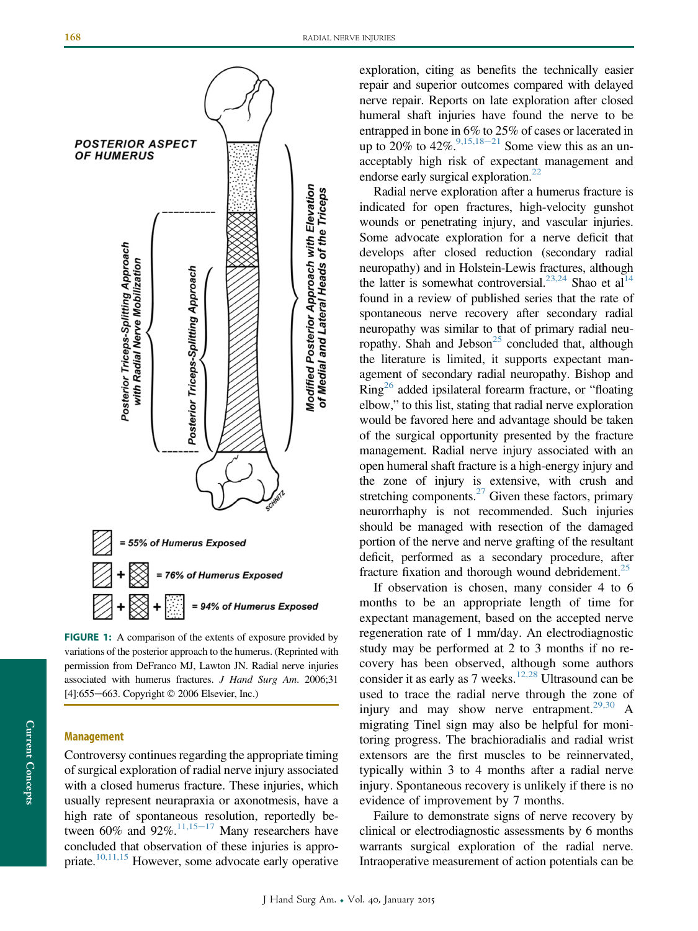<span id="page-2-0"></span>

FIGURE 1: A comparison of the extents of exposure provided by variations of the posterior approach to the humerus. (Reprinted with permission from DeFranco MJ, Lawton JN. Radial nerve injuries associated with humerus fractures. J Hand Surg Am. 2006;31  $[4]:655-663$ . Copyright  $\odot$  2006 Elsevier, Inc.)

#### Management

Controversy continues regarding the appropriate timing of surgical exploration of radial nerve injury associated with a closed humerus fracture. These injuries, which usually represent neurapraxia or axonotmesis, have a high rate of spontaneous resolution, reportedly between 60% and 92%. $11,15-17$  $11,15-17$  Many researchers have concluded that observation of these injuries is appropriate.<sup>10,11,15</sup> However, some advocate early operative exploration, citing as benefits the technically easier repair and superior outcomes compared with delayed nerve repair. Reports on late exploration after closed humeral shaft injuries have found the nerve to be entrapped in bone in 6% to 25% of cases or lacerated in up to 20% to  $42\%^{9,15,18-21}$  $42\%^{9,15,18-21}$  $42\%^{9,15,18-21}$  Some view this as an unacceptably high risk of expectant management and endorse early surgical exploration. $22$ 

Radial nerve exploration after a humerus fracture is indicated for open fractures, high-velocity gunshot wounds or penetrating injury, and vascular injuries. Some advocate exploration for a nerve deficit that develops after closed reduction (secondary radial neuropathy) and in Holstein-Lewis fractures, although the latter is somewhat controversial.<sup>23,24</sup> Shao et al<sup>14</sup> found in a review of published series that the rate of spontaneous nerve recovery after secondary radial neuropathy was similar to that of primary radial neuropathy. Shah and Jebson<sup>25</sup> concluded that, although the literature is limited, it supports expectant management of secondary radial neuropathy. Bishop and Ring[26](#page-5-0) added ipsilateral forearm fracture, or "floating elbow," to this list, stating that radial nerve exploration would be favored here and advantage should be taken of the surgical opportunity presented by the fracture management. Radial nerve injury associated with an open humeral shaft fracture is a high-energy injury and the zone of injury is extensive, with crush and stretching components. $^{27}$  Given these factors, primary neurorrhaphy is not recommended. Such injuries should be managed with resection of the damaged portion of the nerve and nerve grafting of the resultant deficit, performed as a secondary procedure, after fracture fixation and thorough wound debridement.<sup>25</sup>

If observation is chosen, many consider 4 to 6 months to be an appropriate length of time for expectant management, based on the accepted nerve regeneration rate of 1 mm/day. An electrodiagnostic study may be performed at 2 to 3 months if no recovery has been observed, although some authors consider it as early as 7 weeks.<sup>12,28</sup> Ultrasound can be used to trace the radial nerve through the zone of injury and may show nerve entrapment.<sup>[29,30](#page-5-0)</sup> A migrating Tinel sign may also be helpful for monitoring progress. The brachioradialis and radial wrist extensors are the first muscles to be reinnervated, typically within 3 to 4 months after a radial nerve injury. Spontaneous recovery is unlikely if there is no evidence of improvement by 7 months.

Failure to demonstrate signs of nerve recovery by clinical or electrodiagnostic assessments by 6 months warrants surgical exploration of the radial nerve. Intraoperative measurement of action potentials can be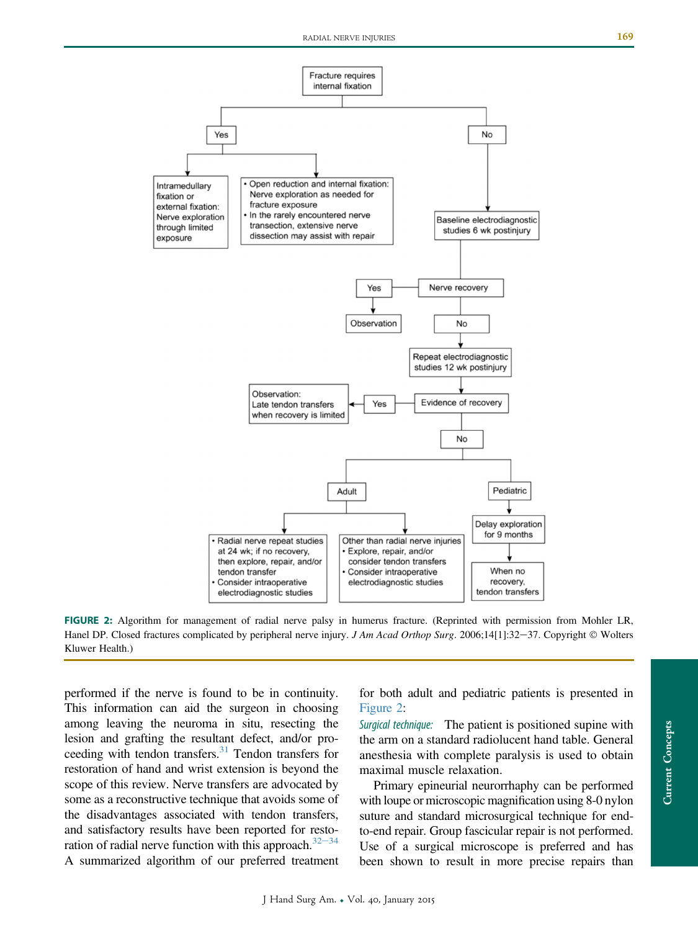

FIGURE 2: Algorithm for management of radial nerve palsy in humerus fracture. (Reprinted with permission from Mohler LR, Hanel DP. Closed fractures complicated by peripheral nerve injury. J Am Acad Orthop Surg. 2006;14[1]:32-37. Copyright © Wolters Kluwer Health.)

performed if the nerve is found to be in continuity. This information can aid the surgeon in choosing among leaving the neuroma in situ, resecting the lesion and grafting the resultant defect, and/or pro-ceeding with tendon transfers.<sup>[31](#page-5-0)</sup> Tendon transfers for restoration of hand and wrist extension is beyond the scope of this review. Nerve transfers are advocated by some as a reconstructive technique that avoids some of the disadvantages associated with tendon transfers, and satisfactory results have been reported for restoration of radial nerve function with this approach. $32-34$  $32-34$  $32-34$ A summarized algorithm of our preferred treatment for both adult and pediatric patients is presented in Figure 2:

Surgical technique: The patient is positioned supine with the arm on a standard radiolucent hand table. General anesthesia with complete paralysis is used to obtain maximal muscle relaxation.

Primary epineurial neurorrhaphy can be performed with loupe or microscopic magnification using 8-0 nylon suture and standard microsurgical technique for endto-end repair. Group fascicular repair is not performed. Use of a surgical microscope is preferred and has been shown to result in more precise repairs than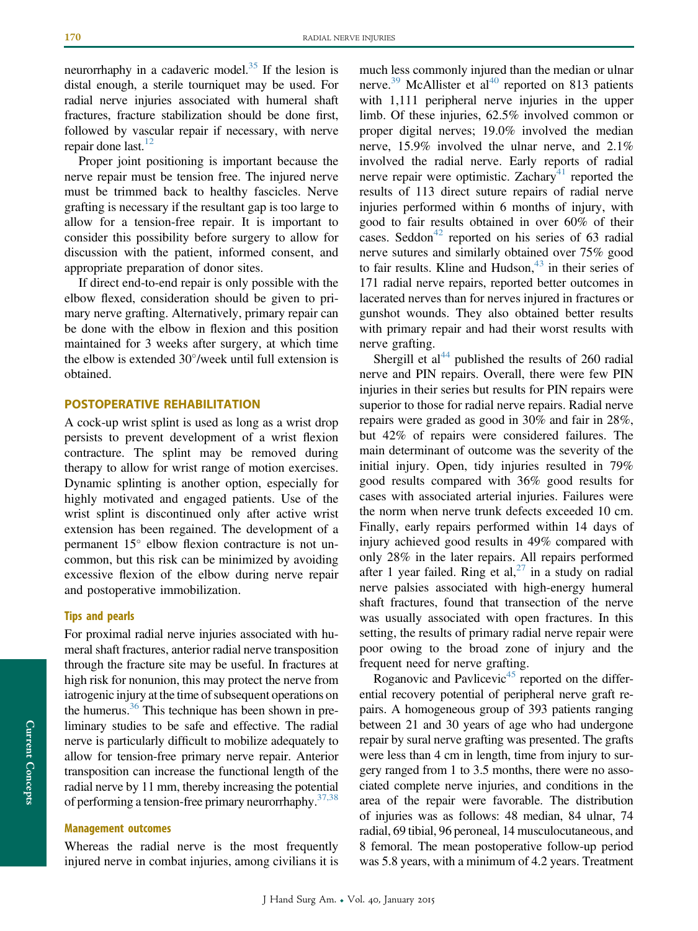neurorrhaphy in a cadaveric model.<sup>35</sup> If the lesion is distal enough, a sterile tourniquet may be used. For radial nerve injuries associated with humeral shaft fractures, fracture stabilization should be done first, followed by vascular repair if necessary, with nerve repair done last. $12$ 

Proper joint positioning is important because the nerve repair must be tension free. The injured nerve must be trimmed back to healthy fascicles. Nerve grafting is necessary if the resultant gap is too large to allow for a tension-free repair. It is important to consider this possibility before surgery to allow for discussion with the patient, informed consent, and appropriate preparation of donor sites.

If direct end-to-end repair is only possible with the elbow flexed, consideration should be given to primary nerve grafting. Alternatively, primary repair can be done with the elbow in flexion and this position maintained for 3 weeks after surgery, at which time the elbow is extended  $30^{\circ}$ /week until full extension is obtained.

#### POSTOPERATIVE REHABILITATION

A cock-up wrist splint is used as long as a wrist drop persists to prevent development of a wrist flexion contracture. The splint may be removed during therapy to allow for wrist range of motion exercises. Dynamic splinting is another option, especially for highly motivated and engaged patients. Use of the wrist splint is discontinued only after active wrist extension has been regained. The development of a permanent  $15^{\circ}$  elbow flexion contracture is not uncommon, but this risk can be minimized by avoiding excessive flexion of the elbow during nerve repair and postoperative immobilization.

#### Tips and pearls

For proximal radial nerve injuries associated with humeral shaft fractures, anterior radial nerve transposition through the fracture site may be useful. In fractures at high risk for nonunion, this may protect the nerve from iatrogenic injury at the time of subsequent operations on the humerus.<sup>36</sup> This technique has been shown in preliminary studies to be safe and effective. The radial nerve is particularly difficult to mobilize adequately to allow for tension-free primary nerve repair. Anterior transposition can increase the functional length of the radial nerve by 11 mm, thereby increasing the potential of performing a tension-free primary neurorrhaphy.  $37,38$ 

#### Management outcomes

Whereas the radial nerve is the most frequently injured nerve in combat injuries, among civilians it is

much less commonly injured than the median or ulnar nerve.<sup>[39](#page-6-0)</sup> McAllister et al<sup>[40](#page-6-0)</sup> reported on 813 patients with 1,111 peripheral nerve injuries in the upper limb. Of these injuries, 62.5% involved common or proper digital nerves; 19.0% involved the median nerve, 15.9% involved the ulnar nerve, and 2.1% involved the radial nerve. Early reports of radial nerve repair were optimistic. Zachary<sup>[41](#page-6-0)</sup> reported the results of 113 direct suture repairs of radial nerve injuries performed within 6 months of injury, with good to fair results obtained in over 60% of their cases. Seddon<sup>42</sup> reported on his series of 63 radial nerve sutures and similarly obtained over 75% good to fair results. Kline and Hudson, $43$  in their series of 171 radial nerve repairs, reported better outcomes in lacerated nerves than for nerves injured in fractures or gunshot wounds. They also obtained better results with primary repair and had their worst results with nerve grafting.

Shergill et al<sup>[44](#page-6-0)</sup> published the results of 260 radial nerve and PIN repairs. Overall, there were few PIN injuries in their series but results for PIN repairs were superior to those for radial nerve repairs. Radial nerve repairs were graded as good in 30% and fair in 28%, but 42% of repairs were considered failures. The main determinant of outcome was the severity of the initial injury. Open, tidy injuries resulted in 79% good results compared with 36% good results for cases with associated arterial injuries. Failures were the norm when nerve trunk defects exceeded 10 cm. Finally, early repairs performed within 14 days of injury achieved good results in 49% compared with only 28% in the later repairs. All repairs performed after 1 year failed. Ring et al,<sup>27</sup> in a study on radial nerve palsies associated with high-energy humeral shaft fractures, found that transection of the nerve was usually associated with open fractures. In this setting, the results of primary radial nerve repair were poor owing to the broad zone of injury and the frequent need for nerve grafting.

Roganovic and Pavlicevic<sup>45</sup> reported on the differential recovery potential of peripheral nerve graft repairs. A homogeneous group of 393 patients ranging between 21 and 30 years of age who had undergone repair by sural nerve grafting was presented. The grafts were less than 4 cm in length, time from injury to surgery ranged from 1 to 3.5 months, there were no associated complete nerve injuries, and conditions in the area of the repair were favorable. The distribution of injuries was as follows: 48 median, 84 ulnar, 74 radial, 69 tibial, 96 peroneal, 14 musculocutaneous, and 8 femoral. The mean postoperative follow-up period was 5.8 years, with a minimum of 4.2 years. Treatment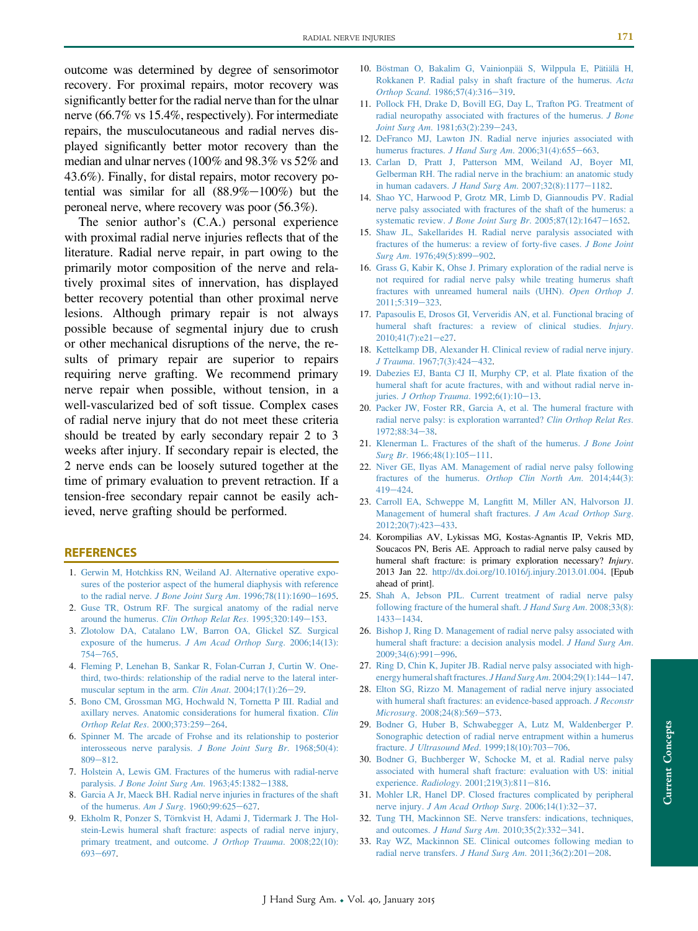<span id="page-5-0"></span>outcome was determined by degree of sensorimotor recovery. For proximal repairs, motor recovery was significantly better for the radial nerve than for the ulnar nerve (66.7% vs 15.4%, respectively). For intermediate repairs, the musculocutaneous and radial nerves displayed significantly better motor recovery than the median and ulnar nerves (100% and 98.3% vs 52% and 43.6%). Finally, for distal repairs, motor recovery potential was similar for all  $(88.9\% - 100\%)$  but the peroneal nerve, where recovery was poor (56.3%).

The senior author's (C.A.) personal experience with proximal radial nerve injuries reflects that of the literature. Radial nerve repair, in part owing to the primarily motor composition of the nerve and relatively proximal sites of innervation, has displayed better recovery potential than other proximal nerve lesions. Although primary repair is not always possible because of segmental injury due to crush or other mechanical disruptions of the nerve, the results of primary repair are superior to repairs requiring nerve grafting. We recommend primary nerve repair when possible, without tension, in a well-vascularized bed of soft tissue. Complex cases of radial nerve injury that do not meet these criteria should be treated by early secondary repair 2 to 3 weeks after injury. If secondary repair is elected, the 2 nerve ends can be loosely sutured together at the time of primary evaluation to prevent retraction. If a tension-free secondary repair cannot be easily achieved, nerve grafting should be performed.

#### REFERENCES

- 1. [Gerwin M, Hotchkiss RN, Weiland AJ. Alternative operative expo](http://refhub.elsevier.com/S0363-5023(14)00626-1/sref1)[sures of the posterior aspect of the humeral diaphysis with reference](http://refhub.elsevier.com/S0363-5023(14)00626-1/sref1) to the radial nerve. [J Bone Joint Surg Am](http://refhub.elsevier.com/S0363-5023(14)00626-1/sref1).  $1996;78(11):1690-1695$  $1996;78(11):1690-1695$ .
- 2. [Guse TR, Ostrum RF. The surgical anatomy of the radial nerve](http://refhub.elsevier.com/S0363-5023(14)00626-1/sref2) around the humerus. [Clin Orthop Relat Res](http://refhub.elsevier.com/S0363-5023(14)00626-1/sref2). 1995;320:149-[153](http://refhub.elsevier.com/S0363-5023(14)00626-1/sref2).
- 3. [Zlotolow DA, Catalano LW, Barron OA, Glickel SZ. Surgical](http://refhub.elsevier.com/S0363-5023(14)00626-1/sref3) [exposure of the humerus.](http://refhub.elsevier.com/S0363-5023(14)00626-1/sref3) J Am Acad Orthop Surg. 2006;14(13):  $754 - 765.$  $754 - 765.$  $754 - 765.$
- 4. [Fleming P, Lenehan B, Sankar R, Folan-Curran J, Curtin W. One](http://refhub.elsevier.com/S0363-5023(14)00626-1/sref4)[third, two-thirds: relationship of the radial nerve to the lateral inter](http://refhub.elsevier.com/S0363-5023(14)00626-1/sref4)[muscular septum in the arm.](http://refhub.elsevier.com/S0363-5023(14)00626-1/sref4) *Clin Anat.*  $2004;17(1):26-29$  $2004;17(1):26-29$ .
- 5. [Bono CM, Grossman MG, Hochwald N, Tornetta P III. Radial and](http://refhub.elsevier.com/S0363-5023(14)00626-1/sref5) [axillary nerves. Anatomic considerations for humeral](http://refhub.elsevier.com/S0363-5023(14)00626-1/sref5) fixation. Clin [Orthop Relat Res](http://refhub.elsevier.com/S0363-5023(14)00626-1/sref5). 2000;373:259-[264](http://refhub.elsevier.com/S0363-5023(14)00626-1/sref5).
- 6. [Spinner M. The arcade of Frohse and its relationship to posterior](http://refhub.elsevier.com/S0363-5023(14)00626-1/sref6) [interosseous nerve paralysis.](http://refhub.elsevier.com/S0363-5023(14)00626-1/sref6) J Bone Joint Surg Br. 1968;50(4):  $809 - 812.$  $809 - 812.$  $809 - 812.$
- 7. [Holstein A, Lewis GM. Fractures of the humerus with radial-nerve](http://refhub.elsevier.com/S0363-5023(14)00626-1/sref7) paralysis. *[J Bone Joint Surg Am](http://refhub.elsevier.com/S0363-5023(14)00626-1/sref7).* 1963;45:1382-[1388](http://refhub.elsevier.com/S0363-5023(14)00626-1/sref7).
- 8. [Garcia A Jr, Maeck BH. Radial nerve injuries in fractures of the shaft](http://refhub.elsevier.com/S0363-5023(14)00626-1/sref8) [of the humerus.](http://refhub.elsevier.com/S0363-5023(14)00626-1/sref8) Am J Surg. 1960;99:625-[627.](http://refhub.elsevier.com/S0363-5023(14)00626-1/sref8)
- 9. [Ekholm R, Ponzer S, Törnkvist H, Adami J, Tidermark J. The Hol](http://refhub.elsevier.com/S0363-5023(14)00626-1/sref9)[stein-Lewis humeral shaft fracture: aspects of radial nerve injury,](http://refhub.elsevier.com/S0363-5023(14)00626-1/sref9) [primary treatment, and outcome.](http://refhub.elsevier.com/S0363-5023(14)00626-1/sref9) J Orthop Trauma. 2008;22(10): [693](http://refhub.elsevier.com/S0363-5023(14)00626-1/sref9)-[697.](http://refhub.elsevier.com/S0363-5023(14)00626-1/sref9)
- 10. [Böstman O, Bakalim G, Vainionpää S, Wilppula E, Pätiälä H,](http://refhub.elsevier.com/S0363-5023(14)00626-1/sref10) [Rokkanen P. Radial palsy in shaft fracture of the humerus.](http://refhub.elsevier.com/S0363-5023(14)00626-1/sref10) Acta Orthop Scand[. 1986;57\(4\):316](http://refhub.elsevier.com/S0363-5023(14)00626-1/sref10)-[319](http://refhub.elsevier.com/S0363-5023(14)00626-1/sref10).
- 11. [Pollock FH, Drake D, Bovill EG, Day L, Trafton PG. Treatment of](http://refhub.elsevier.com/S0363-5023(14)00626-1/sref11) [radial neuropathy associated with fractures of the humerus.](http://refhub.elsevier.com/S0363-5023(14)00626-1/sref11) J Bone Joint Surg Am[. 1981;63\(2\):239](http://refhub.elsevier.com/S0363-5023(14)00626-1/sref11)-[243](http://refhub.elsevier.com/S0363-5023(14)00626-1/sref11).
- 12. [DeFranco MJ, Lawton JN. Radial nerve injuries associated with](http://refhub.elsevier.com/S0363-5023(14)00626-1/sref12) [humerus fractures.](http://refhub.elsevier.com/S0363-5023(14)00626-1/sref12) J Hand Surg Am.  $2006;31(4):655-663$ .
- 13. [Carlan D, Pratt J, Patterson MM, Weiland AJ, Boyer MI,](http://refhub.elsevier.com/S0363-5023(14)00626-1/sref13) [Gelberman RH. The radial nerve in the brachium: an anatomic study](http://refhub.elsevier.com/S0363-5023(14)00626-1/sref13) [in human cadavers.](http://refhub.elsevier.com/S0363-5023(14)00626-1/sref13) J Hand Surg Am.  $2007;32(8):1177-1182$  $2007;32(8):1177-1182$ .
- 14. [Shao YC, Harwood P, Grotz MR, Limb D, Giannoudis PV. Radial](http://refhub.elsevier.com/S0363-5023(14)00626-1/sref14) [nerve palsy associated with fractures of the shaft of the humerus: a](http://refhub.elsevier.com/S0363-5023(14)00626-1/sref14) systematic review. [J Bone Joint Surg Br](http://refhub.elsevier.com/S0363-5023(14)00626-1/sref14). 2005;87(12):1647-[1652](http://refhub.elsevier.com/S0363-5023(14)00626-1/sref14).
- 15. [Shaw JL, Sakellarides H. Radial nerve paralysis associated with](http://refhub.elsevier.com/S0363-5023(14)00626-1/sref15) [fractures of the humerus: a review of forty-](http://refhub.elsevier.com/S0363-5023(14)00626-1/sref15)five cases. J Bone Joint Surg Am[. 1976;49\(5\):899](http://refhub.elsevier.com/S0363-5023(14)00626-1/sref15)-[902.](http://refhub.elsevier.com/S0363-5023(14)00626-1/sref15)
- 16. [Grass G, Kabir K, Ohse J. Primary exploration of the radial nerve is](http://refhub.elsevier.com/S0363-5023(14)00626-1/sref16) [not required for radial nerve palsy while treating humerus shaft](http://refhub.elsevier.com/S0363-5023(14)00626-1/sref16) [fractures with unreamed humeral nails \(UHN\).](http://refhub.elsevier.com/S0363-5023(14)00626-1/sref16) Open Orthop J. [2011;5:319](http://refhub.elsevier.com/S0363-5023(14)00626-1/sref16)-[323.](http://refhub.elsevier.com/S0363-5023(14)00626-1/sref16)
- 17. [Papasoulis E, Drosos GI, Ververidis AN, et al. Functional bracing of](http://refhub.elsevier.com/S0363-5023(14)00626-1/sref17) [humeral shaft fractures: a review of clinical studies.](http://refhub.elsevier.com/S0363-5023(14)00626-1/sref17) Injury.  $2010;41(7):e21-e27.$  $2010;41(7):e21-e27.$  $2010;41(7):e21-e27.$  $2010;41(7):e21-e27.$
- 18. [Kettelkamp DB, Alexander H. Clinical review of radial nerve injury.](http://refhub.elsevier.com/S0363-5023(14)00626-1/sref18) J Trauma[. 1967;7\(3\):424](http://refhub.elsevier.com/S0363-5023(14)00626-1/sref18)-[432.](http://refhub.elsevier.com/S0363-5023(14)00626-1/sref18)
- 19. [Dabezies EJ, Banta CJ II, Murphy CP, et al. Plate](http://refhub.elsevier.com/S0363-5023(14)00626-1/sref19) fixation of the [humeral shaft for acute fractures, with and without radial nerve in-](http://refhub.elsevier.com/S0363-5023(14)00626-1/sref19)juries. [J Orthop Trauma](http://refhub.elsevier.com/S0363-5023(14)00626-1/sref19).  $1992;6(1):10-13$  $1992;6(1):10-13$ .
- 20. [Packer JW, Foster RR, Garcia A, et al. The humeral fracture with](http://refhub.elsevier.com/S0363-5023(14)00626-1/sref20) [radial nerve palsy: is exploration warranted?](http://refhub.elsevier.com/S0363-5023(14)00626-1/sref20) Clin Orthop Relat Res. [1972;88:34](http://refhub.elsevier.com/S0363-5023(14)00626-1/sref20)-[38.](http://refhub.elsevier.com/S0363-5023(14)00626-1/sref20)
- 21. [Klenerman L. Fractures of the shaft of the humerus.](http://refhub.elsevier.com/S0363-5023(14)00626-1/sref21) J Bone Joint  $Surg Br. 1966;48(1):105-111.$  $Surg Br. 1966;48(1):105-111.$  $Surg Br. 1966;48(1):105-111.$  $Surg Br. 1966;48(1):105-111.$  $Surg Br. 1966;48(1):105-111.$
- 22. [Niver GE, Ilyas AM. Management of radial nerve palsy following](http://refhub.elsevier.com/S0363-5023(14)00626-1/sref22) [fractures of the humerus.](http://refhub.elsevier.com/S0363-5023(14)00626-1/sref22) Orthop Clin North Am. 2014;44(3): [419](http://refhub.elsevier.com/S0363-5023(14)00626-1/sref22)-[424.](http://refhub.elsevier.com/S0363-5023(14)00626-1/sref22)
- 23. [Carroll EA, Schweppe M, Lang](http://refhub.elsevier.com/S0363-5023(14)00626-1/sref23)fitt M, Miller AN, Halvorson JJ. [Management of humeral shaft fractures.](http://refhub.elsevier.com/S0363-5023(14)00626-1/sref23) J Am Acad Orthop Surg.  $2012:20(7):423-433.$  $2012:20(7):423-433.$  $2012:20(7):423-433.$
- 24. Korompilias AV, Lykissas MG, Kostas-Agnantis IP, Vekris MD, Soucacos PN, Beris AE. Approach to radial nerve palsy caused by humeral shaft fracture: is primary exploration necessary? Injury. 2013 Jan 22. [http://dx.doi.org/10.1016/j.injury.2013.01.004.](http://dx.doi.org/10.1016/j.injury.2013.01.004) [Epub ahead of print].
- 25. [Shah A, Jebson PJL. Current treatment of radial nerve palsy](http://refhub.elsevier.com/S0363-5023(14)00626-1/sref25) [following fracture of the humeral shaft.](http://refhub.elsevier.com/S0363-5023(14)00626-1/sref25) J Hand Surg Am. 2008;33(8): [1433](http://refhub.elsevier.com/S0363-5023(14)00626-1/sref25)-[1434.](http://refhub.elsevier.com/S0363-5023(14)00626-1/sref25)
- 26. [Bishop J, Ring D. Management of radial nerve palsy associated with](http://refhub.elsevier.com/S0363-5023(14)00626-1/sref26) [humeral shaft fracture: a decision analysis model.](http://refhub.elsevier.com/S0363-5023(14)00626-1/sref26) J Hand Surg Am.  $2009;34(6):991-996.$  $2009;34(6):991-996.$  $2009;34(6):991-996.$  $2009;34(6):991-996.$
- 27. [Ring D, Chin K, Jupiter JB. Radial nerve palsy associated with high](http://refhub.elsevier.com/S0363-5023(14)00626-1/sref27)[energy humeral shaft fractures.](http://refhub.elsevier.com/S0363-5023(14)00626-1/sref27) J Hand Surg Am. 2004;29(1):144-[147](http://refhub.elsevier.com/S0363-5023(14)00626-1/sref27).
- 28. [Elton SG, Rizzo M. Management of radial nerve injury associated](http://refhub.elsevier.com/S0363-5023(14)00626-1/sref28) [with humeral shaft fractures: an evidence-based approach.](http://refhub.elsevier.com/S0363-5023(14)00626-1/sref28) J Reconstr Microsurg[. 2008;24\(8\):569](http://refhub.elsevier.com/S0363-5023(14)00626-1/sref28)-[573.](http://refhub.elsevier.com/S0363-5023(14)00626-1/sref28)
- 29. [Bodner G, Huber B, Schwabegger A, Lutz M, Waldenberger P.](http://refhub.elsevier.com/S0363-5023(14)00626-1/sref29) [Sonographic detection of radial nerve entrapment within a humerus](http://refhub.elsevier.com/S0363-5023(14)00626-1/sref29) fracture. [J Ultrasound Med](http://refhub.elsevier.com/S0363-5023(14)00626-1/sref29). 1999;18(10):703-[706](http://refhub.elsevier.com/S0363-5023(14)00626-1/sref29).
- 30. [Bodner G, Buchberger W, Schocke M, et al. Radial nerve palsy](http://refhub.elsevier.com/S0363-5023(14)00626-1/sref30) [associated with humeral shaft fracture: evaluation with US: initial](http://refhub.elsevier.com/S0363-5023(14)00626-1/sref30) experience. Radiology[. 2001;219\(3\):811](http://refhub.elsevier.com/S0363-5023(14)00626-1/sref30)-[816.](http://refhub.elsevier.com/S0363-5023(14)00626-1/sref30)
- 31. [Mohler LR, Hanel DP. Closed fractures complicated by peripheral](http://refhub.elsevier.com/S0363-5023(14)00626-1/sref31) nerve injury. [J Am Acad Orthop Surg](http://refhub.elsevier.com/S0363-5023(14)00626-1/sref31).  $2006;14(1):32-37$ .
- 32. [Tung TH, Mackinnon SE. Nerve transfers: indications, techniques,](http://refhub.elsevier.com/S0363-5023(14)00626-1/sref32) and outcomes. *[J Hand Surg Am](http://refhub.elsevier.com/S0363-5023(14)00626-1/sref32).*  $2010;35(2):332-341$  $2010;35(2):332-341$ .
- 33. [Ray WZ, Mackinnon SE. Clinical outcomes following median to](http://refhub.elsevier.com/S0363-5023(14)00626-1/sref33) [radial nerve transfers.](http://refhub.elsevier.com/S0363-5023(14)00626-1/sref33) J Hand Surg Am.  $2011;36(2):201-208$  $2011;36(2):201-208$ .